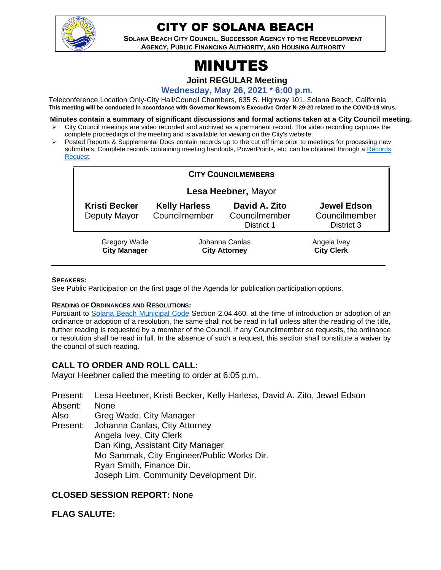

## CITY OF SOLANA BEACH

**SOLANA BEACH CITY COUNCIL, SUCCESSOR AGENCY TO THE REDEVELOPMENT AGENCY, PUBLIC FINANCING AUTHORITY, AND HOUSING AUTHORITY** 

# MINUTES

**Joint REGULAR Meeting**

**Wednesday, May 26, 2021 \* 6:00 p.m.**

Teleconference Location Only-City Hall/Council Chambers, 635 S. Highway 101, Solana Beach, California **This meeting will be conducted in accordance with Governor Newsom's Executive Order N-29-20 related to the COVID-19 virus.**

**Minutes contain a summary of significant discussions and formal actions taken at a City Council meeting.**

- ➢ City Council meetings are video recorded and archived as a permanent record. The video recording captures the complete proceedings of the meeting and is available for viewing on the City's website.
- Posted Reports & Supplemental Docs contain records up to the cut off time prior to meetings for processing new submittals. Complete records containing meeting handouts, PowerPoints, etc. can be obtained through a Records [Request.](http://www.ci.solana-beach.ca.us/index.asp?SEC=F5D45D10-70CE-4291-A27C-7BD633FC6742&Type=B_BASIC)

| <b>CITY COUNCILMEMBERS</b>                 |                                        |                                              |                                                   |
|--------------------------------------------|----------------------------------------|----------------------------------------------|---------------------------------------------------|
| Lesa Heebner, Mayor                        |                                        |                                              |                                                   |
| <b>Kristi Becker</b><br>Deputy Mayor       | <b>Kelly Harless</b><br>Councilmember  | David A. Zito<br>Councilmember<br>District 1 | <b>Jewel Edson</b><br>Councilmember<br>District 3 |
| <b>Gregory Wade</b><br><b>City Manager</b> | Johanna Canlas<br><b>City Attorney</b> |                                              | Angela Ivey<br><b>City Clerk</b>                  |

#### **SPEAKERS:**

See Public Participation on the first page of the Agenda for publication participation options.

#### **READING OF ORDINANCES AND RESOLUTIONS:**

Pursuant to [Solana Beach Municipal Code](https://www.codepublishing.com/CA/SolanaBeach/) Section 2.04.460, at the time of introduction or adoption of an ordinance or adoption of a resolution, the same shall not be read in full unless after the reading of the title, further reading is requested by a member of the Council. If any Councilmember so requests, the ordinance or resolution shall be read in full. In the absence of such a request, this section shall constitute a waiver by the council of such reading.

## **CALL TO ORDER AND ROLL CALL:**

Mayor Heebner called the meeting to order at 6:05 p.m.

- Present: Lesa Heebner, Kristi Becker, Kelly Harless, David A. Zito, Jewel Edson Absent: None
- Also
- Present: Greg Wade, City Manager Johanna Canlas, City Attorney Angela Ivey, City Clerk Dan King, Assistant City Manager Mo Sammak, City Engineer/Public Works Dir. Ryan Smith, Finance Dir. Joseph Lim, Community Development Dir.

## **CLOSED SESSION REPORT:** None

## **FLAG SALUTE:**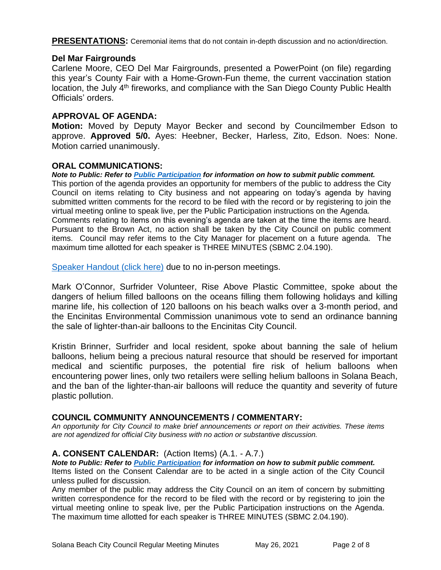**PRESENTATIONS:** Ceremonial items that do not contain in-depth discussion and no action/direction.

#### **Del Mar Fairgrounds**

Carlene Moore, CEO Del Mar Fairgrounds, presented a PowerPoint (on file) regarding this year's County Fair with a Home-Grown-Fun theme, the current vaccination station location, the July 4<sup>th</sup> fireworks, and compliance with the San Diego County Public Health Officials' orders.

#### **APPROVAL OF AGENDA:**

**Motion:** Moved by Deputy Mayor Becker and second by Councilmember Edson to approve. **Approved 5/0.** Ayes: Heebner, Becker, Harless, Zito, Edson. Noes: None. Motion carried unanimously.

#### **ORAL COMMUNICATIONS:**

*Note to Public: Refer to Public Participation for information on how to submit public comment.*  This portion of the agenda provides an opportunity for members of the public to address the City Council on items relating to City business and not appearing on today's agenda by having submitted written comments for the record to be filed with the record or by registering to join the virtual meeting online to speak live, per the Public Participation instructions on the Agenda. Comments relating to items on this evening's agenda are taken at the time the items are heard. Pursuant to the Brown Act, no action shall be taken by the City Council on public comment items. Council may refer items to the City Manager for placement on a future agenda. The maximum time allotted for each speaker is THREE MINUTES (SBMC 2.04.190).

[Speaker Handout \(click here\)](https://solanabeach.govoffice3.com/vertical/Sites/%7B840804C2-F869-4904-9AE3-720581350CE7%7D/uploads/OC_-_Handout_1.pdf) due to no in-person meetings.

Mark O'Connor, Surfrider Volunteer, Rise Above Plastic Committee, spoke about the dangers of helium filled balloons on the oceans filling them following holidays and killing marine life, his collection of 120 balloons on his beach walks over a 3-month period, and the Encinitas Environmental Commission unanimous vote to send an ordinance banning the sale of lighter-than-air balloons to the Encinitas City Council.

Kristin Brinner, Surfrider and local resident, spoke about banning the sale of helium balloons, helium being a precious natural resource that should be reserved for important medical and scientific purposes, the potential fire risk of helium balloons when encountering power lines, only two retailers were selling helium balloons in Solana Beach, and the ban of the lighter-than-air balloons will reduce the quantity and severity of future plastic pollution.

#### **COUNCIL COMMUNITY ANNOUNCEMENTS / COMMENTARY:**

*An opportunity for City Council to make brief announcements or report on their activities. These items are not agendized for official City business with no action or substantive discussion.* 

#### **A. CONSENT CALENDAR:** (Action Items) (A.1. - A.7.)

*Note to Public: Refer to Public Participation for information on how to submit public comment.*  Items listed on the Consent Calendar are to be acted in a single action of the City Council unless pulled for discussion.

Any member of the public may address the City Council on an item of concern by submitting written correspondence for the record to be filed with the record or by registering to join the virtual meeting online to speak live, per the Public Participation instructions on the Agenda. The maximum time allotted for each speaker is THREE MINUTES (SBMC 2.04.190).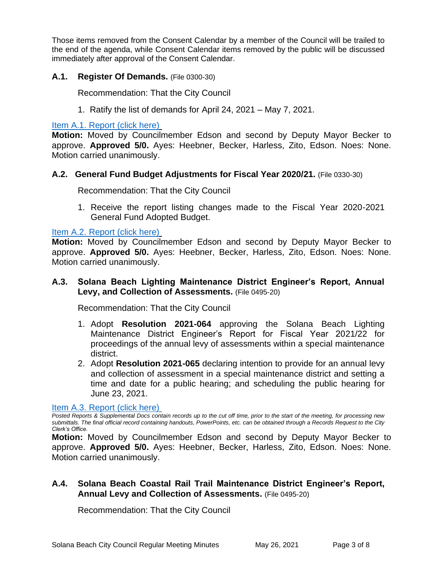Those items removed from the Consent Calendar by a member of the Council will be trailed to the end of the agenda, while Consent Calendar items removed by the public will be discussed immediately after approval of the Consent Calendar.

#### **A.1. Register Of Demands.** (File 0300-30)

Recommendation: That the City Council

1. Ratify the list of demands for April 24, 2021 – May 7, 2021.

[Item A.1. Report \(click here\)](https://solanabeach.govoffice3.com/vertical/Sites/%7B840804C2-F869-4904-9AE3-720581350CE7%7D/uploads/Item_A.1._Report_(click_here)_-_05-26-21-O.pdf)

**Motion:** Moved by Councilmember Edson and second by Deputy Mayor Becker to approve. **Approved 5/0.** Ayes: Heebner, Becker, Harless, Zito, Edson. Noes: None. Motion carried unanimously.

#### **A.2. General Fund Budget Adjustments for Fiscal Year 2020/21.** (File 0330-30)

Recommendation: That the City Council

1. Receive the report listing changes made to the Fiscal Year 2020-2021 General Fund Adopted Budget.

#### [Item A.2. Report \(click here\)](https://solanabeach.govoffice3.com/vertical/Sites/%7B840804C2-F869-4904-9AE3-720581350CE7%7D/uploads/Item_A.2._Report_(click_here)_-_05-26-21-O.pdf)

**Motion:** Moved by Councilmember Edson and second by Deputy Mayor Becker to approve. **Approved 5/0.** Ayes: Heebner, Becker, Harless, Zito, Edson. Noes: None. Motion carried unanimously.

## **A.3. Solana Beach Lighting Maintenance District Engineer's Report, Annual Levy, and Collection of Assessments.** (File 0495-20)

Recommendation: That the City Council

- 1. Adopt **Resolution 2021-064** approving the Solana Beach Lighting Maintenance District Engineer's Report for Fiscal Year 2021/22 for proceedings of the annual levy of assessments within a special maintenance district.
- 2. Adopt **Resolution 2021-065** declaring intention to provide for an annual levy and collection of assessment in a special maintenance district and setting a time and date for a public hearing; and scheduling the public hearing for [June 23, 2021.](https://solanabeach.govoffice3.com/vertical/Sites/%7B840804C2-F869-4904-9AE3-720581350CE7%7D/uploads/Item_A.3._Report_(click_here)_-_05-26-21-O.pdf)

[Item A.3. Report \(click here\)](https://solanabeach.govoffice3.com/vertical/Sites/%7B840804C2-F869-4904-9AE3-720581350CE7%7D/uploads/Item_A.3._Report_(click_here)_-_05-26-21-O.pdf)

*Posted Reports & Supplemental Docs contain records up to the cut off time, prior to the start of the meeting, for processing new submittals. The final official record containing handouts, PowerPoints, etc. can be obtained through a Records Request to the City Clerk's Office.*

**Motion:** Moved by Councilmember Edson and second by Deputy Mayor Becker to approve. **Approved 5/0.** Ayes: Heebner, Becker, Harless, Zito, Edson. Noes: None. Motion carried unanimously.

## **A.4. Solana Beach Coastal Rail Trail Maintenance District Engineer's Report, Annual Levy and Collection of Assessments.** (File 0495-20)

Recommendation: That the City Council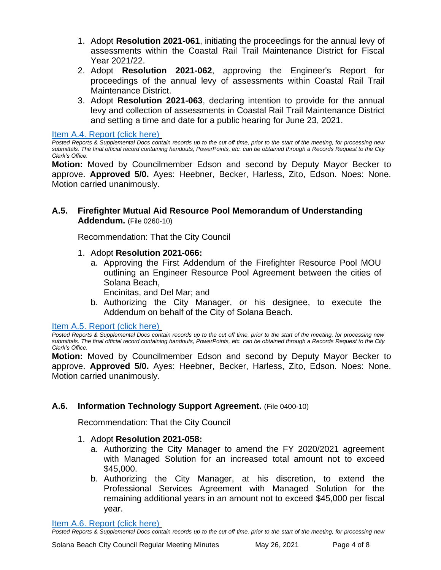- 1. Adopt **Resolution 2021-061**, initiating the proceedings for the annual levy of assessments within the Coastal Rail Trail Maintenance District for Fiscal Year 2021/22.
- 2. Adopt **Resolution 2021-062**, approving the Engineer's Report for proceedings of the annual levy of assessments within Coastal Rail Trail Maintenance District.
- 3. Adopt **Resolution 2021-063**, declaring intention to provide for the annual levy and collection of assessments in Coastal Rail Trail Maintenance District and setting a time and date for a public hearing for June 23, 2021.

Item [A.4. Report \(click here\)](https://solanabeach.govoffice3.com/vertical/Sites/%7B840804C2-F869-4904-9AE3-720581350CE7%7D/uploads/Item_A.4._Report_(click_here)_-_05-26-21-O.pdf)

*Posted Reports & Supplemental Docs contain records up to the cut off time, prior to the start of the meeting, for processing new submittals. The final official record containing handouts, PowerPoints, etc. can be obtained through a Records Request to the City Clerk's Office.*

**Motion:** Moved by Councilmember Edson and second by Deputy Mayor Becker to approve. **Approved 5/0.** Ayes: Heebner, Becker, Harless, Zito, Edson. Noes: None. Motion carried unanimously.

## **A.5. Firefighter Mutual Aid Resource Pool Memorandum of Understanding Addendum.** (File 0260-10)

Recommendation: That the City Council

- 1. Adopt **Resolution 2021-066:**
	- a. Approving the First Addendum of the Firefighter Resource Pool MOU outlining an Engineer Resource Pool Agreement between the cities of Solana Beach,

Encinitas, and Del Mar; and

b. Authorizing the City Manager, or his designee, to execute the Addendum on behalf of the City of Solana Beach.

[Item A.5. Report \(click here\)](https://solanabeach.govoffice3.com/vertical/Sites/%7B840804C2-F869-4904-9AE3-720581350CE7%7D/uploads/Item_A.5._Report_(click_here)_-_05-26-21-O.pdf)

*Posted Reports & Supplemental Docs contain records up to the cut off time, prior to the start of the meeting, for processing new submittals. The final official record containing handouts, PowerPoints, etc. can be obtained through a Records Request to the City Clerk's Office.*

**Motion:** Moved by Councilmember Edson and second by Deputy Mayor Becker to approve. **Approved 5/0.** Ayes: Heebner, Becker, Harless, Zito, Edson. Noes: None. Motion carried unanimously.

## **A.6. Information Technology Support Agreement.** (File 0400-10)

Recommendation: That the City Council

- 1. Adopt **Resolution 2021-058:**
	- a. Authorizing the City Manager to amend the FY 2020/2021 agreement with Managed Solution for an increased total amount not to exceed \$45,000.
	- b. Authorizing the City Manager, at his discretion, to extend the Professional Services Agreement with Managed Solution for the remaining additional years in an amount not to exceed \$45,000 per fiscal year.

[Item A.6. Report \(click here\)](https://solanabeach.govoffice3.com/vertical/Sites/%7B840804C2-F869-4904-9AE3-720581350CE7%7D/uploads/Item_A.6._Report_(click_here)_-_05-26-21-O.pdf)

*Posted Reports & Supplemental Docs contain records up to the cut off time, prior to the start of the meeting, for processing new*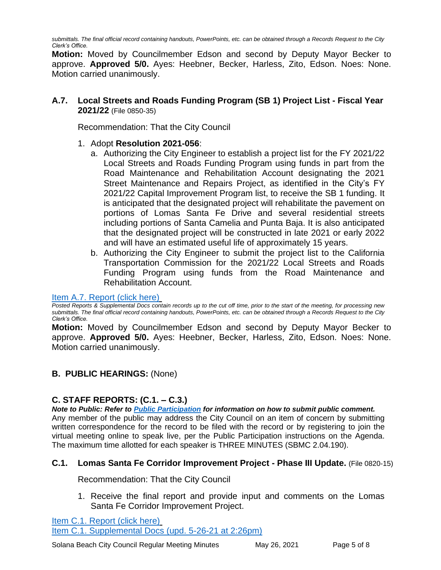*submittals. The final official record containing handouts, PowerPoints, etc. can be obtained through a Records Request to the City Clerk's Office.*

**Motion:** Moved by Councilmember Edson and second by Deputy Mayor Becker to approve. **Approved 5/0.** Ayes: Heebner, Becker, Harless, Zito, Edson. Noes: None. Motion carried unanimously.

## **A.7. Local Streets and Roads Funding Program (SB 1) Project List - Fiscal Year 2021/22** (File 0850-35)

Recommendation: That the City Council

## 1. Adopt **Resolution 2021-056**:

- a. Authorizing the City Engineer to establish a project list for the FY 2021/22 Local Streets and Roads Funding Program using funds in part from the Road Maintenance and Rehabilitation Account designating the 2021 Street Maintenance and Repairs Project, as identified in the City's FY 2021/22 Capital Improvement Program list, to receive the SB 1 funding. It is anticipated that the designated project will rehabilitate the pavement on portions of Lomas Santa Fe Drive and several residential streets including portions of Santa Camelia and Punta Baja. It is also anticipated that the designated project will be constructed in late 2021 or early 2022 and will have an estimated useful life of approximately 15 years.
- b. Authorizing the City Engineer to submit the project list to the California Transportation Commission for the 2021/22 Local Streets and Roads Funding Program using funds from the Road Maintenance and Rehabilitation Account.

#### [Item A.7. Report](https://solanabeach.govoffice3.com/vertical/Sites/%7B840804C2-F869-4904-9AE3-720581350CE7%7D/uploads/Item_A.7._Report_(click_here)_-_05-26-21-O.pdf) (click here)

*Posted Reports & Supplemental Docs contain records up to the cut off time, prior to the start of the meeting, for processing new submittals. The final official record containing handouts, PowerPoints, etc. can be obtained through a Records Request to the City Clerk's Office.*

**Motion:** Moved by Councilmember Edson and second by Deputy Mayor Becker to approve. **Approved 5/0.** Ayes: Heebner, Becker, Harless, Zito, Edson. Noes: None. Motion carried unanimously.

## **B. PUBLIC HEARINGS:** (None)

## **C. STAFF REPORTS: (C.1. – C.3.)**

*Note to Public: Refer to Public Participation for information on how to submit public comment.*  Any member of the public may address the City Council on an item of concern by submitting written correspondence for the record to be filed with the record or by registering to join the virtual meeting online to speak live, per the Public Participation instructions on the Agenda. The maximum time allotted for each speaker is THREE MINUTES (SBMC 2.04.190).

## **C.1. Lomas Santa Fe Corridor Improvement Project - Phase III Update.** (File 0820-15)

Recommendation: That the City Council

1. Receive the final report and provide input and comments on the Lomas Santa Fe Corridor Improvement Project.

[Item C.1. Report \(click here\)](https://solanabeach.govoffice3.com/vertical/Sites/%7B840804C2-F869-4904-9AE3-720581350CE7%7D/uploads/Item_C.1._Report_(click_here)_-_05-26-21-O.pdf) [Item C.1. Supplemental Docs \(upd. 5-26-21 at 2:26pm\)](https://solanabeach.govoffice3.com/vertical/Sites/%7B840804C2-F869-4904-9AE3-720581350CE7%7D/uploads/Item_C.1._Supplemental_Docs_(upd._5-26-21_at_2pm)_-_O.pdf)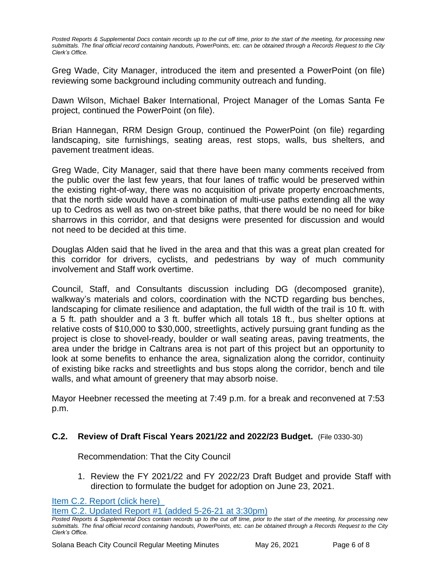*Posted Reports & Supplemental Docs contain records up to the cut off time, prior to the start of the meeting, for processing new submittals. The final official record containing handouts, PowerPoints, etc. can be obtained through a Records Request to the City Clerk's Office.*

Greg Wade, City Manager, introduced the item and presented a PowerPoint (on file) reviewing some background including community outreach and funding.

Dawn Wilson, Michael Baker International, Project Manager of the Lomas Santa Fe project, continued the PowerPoint (on file).

Brian Hannegan, RRM Design Group, continued the PowerPoint (on file) regarding landscaping, site furnishings, seating areas, rest stops, walls, bus shelters, and pavement treatment ideas.

Greg Wade, City Manager, said that there have been many comments received from the public over the last few years, that four lanes of traffic would be preserved within the existing right-of-way, there was no acquisition of private property encroachments, that the north side would have a combination of multi-use paths extending all the way up to Cedros as well as two on-street bike paths, that there would be no need for bike sharrows in this corridor, and that designs were presented for discussion and would not need to be decided at this time.

Douglas Alden said that he lived in the area and that this was a great plan created for this corridor for drivers, cyclists, and pedestrians by way of much community involvement and Staff work overtime.

Council, Staff, and Consultants discussion including DG (decomposed granite), walkway's materials and colors, coordination with the NCTD regarding bus benches, landscaping for climate resilience and adaptation, the full width of the trail is 10 ft. with a 5 ft. path shoulder and a 3 ft. buffer which all totals 18 ft., bus shelter options at relative costs of \$10,000 to \$30,000, streetlights, actively pursuing grant funding as the project is close to shovel-ready, boulder or wall seating areas, paving treatments, the area under the bridge in Caltrans area is not part of this project but an opportunity to look at some benefits to enhance the area, signalization along the corridor, continuity of existing bike racks and streetlights and bus stops along the corridor, bench and tile walls, and what amount of greenery that may absorb noise.

Mayor Heebner recessed the meeting at 7:49 p.m. for a break and reconvened at 7:53 p.m.

## **C.2. Review of Draft Fiscal Years 2021/22 and 2022/23 Budget.** (File 0330-30)

Recommendation: That the City Council

1. Review the FY 2021/22 and FY 2022/23 Draft Budget and provide Staff with direction to formulate the budget for adoption on June 23, 2021.

[Item C.2. Report \(click here\)](https://solanabeach.govoffice3.com/vertical/Sites/%7B840804C2-F869-4904-9AE3-720581350CE7%7D/uploads/Item_C.2._Report_(click_here)_-_05-26-21-O.pdf) 

Item C.2. Updated Report #1 [\(added 5-26-21 at 3:30pm\)](https://solanabeach.govoffice3.com/vertical/Sites/%7B840804C2-F869-4904-9AE3-720581350CE7%7D/uploads/Item_C.2._Updated_Report_1_(upd._5-26_at_330pm)_-_O.pdf)

*Posted Reports & Supplemental Docs contain records up to the cut off time, prior to the start of the meeting, for processing new submittals. The final official record containing handouts, PowerPoints, etc. can be obtained through a Records Request to the City Clerk's Office.*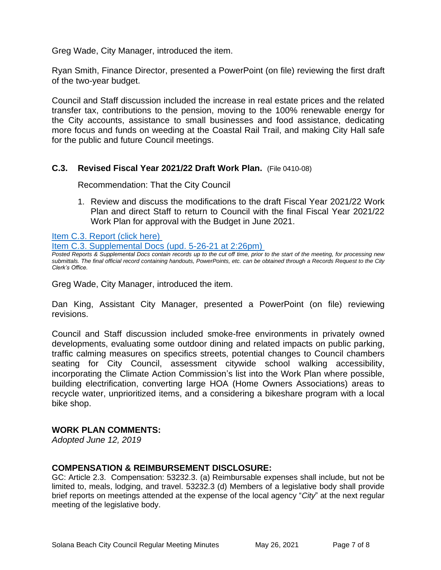Greg Wade, City Manager, introduced the item.

Ryan Smith, Finance Director, presented a PowerPoint (on file) reviewing the first draft of the two-year budget.

Council and Staff discussion included the increase in real estate prices and the related transfer tax, contributions to the pension, moving to the 100% renewable energy for the City accounts, assistance to small businesses and food assistance, dedicating more focus and funds on weeding at the Coastal Rail Trail, and making City Hall safe for the public and future Council meetings.

#### **C.3. Revised Fiscal Year 2021/22 Draft Work Plan.** (File 0410-08)

Recommendation: That the City Council

1. Review and discuss the modifications to the draft Fiscal Year 2021/22 Work Plan and direct Staff to return to Council with the final Fiscal Year 2021/22 Work Plan for approval with the Budget in June 2021.

[Item C.3. Report](https://solanabeach.govoffice3.com/vertical/Sites/%7B840804C2-F869-4904-9AE3-720581350CE7%7D/uploads/Item_C.3._Report_(click_here)_-_05-26-21-O.pdf) (click here)

[Item C.3. Supplemental Docs \(upd. 5-26-21 at](https://solanabeach.govoffice3.com/vertical/Sites/%7B840804C2-F869-4904-9AE3-720581350CE7%7D/uploads/Item_C.3._Supplemental_Docs_(upd._5-26-21_at_231pm)_-_O.pdf) 2:26pm)

*Posted Reports & Supplemental Docs contain records up to the cut off time, prior to the start of the meeting, for processing new submittals. The final official record containing handouts, PowerPoints, etc. can be obtained through a Records Request to the City Clerk's Office.*

Greg Wade, City Manager, introduced the item.

Dan King, Assistant City Manager, presented a PowerPoint (on file) reviewing revisions.

Council and Staff discussion included smoke-free environments in privately owned developments, evaluating some outdoor dining and related impacts on public parking, traffic calming measures on specifics streets, potential changes to Council chambers seating for City Council, assessment citywide school walking accessibility, incorporating the Climate Action Commission's list into the Work Plan where possible, building electrification, converting large HOA (Home Owners Associations) areas to recycle water, unprioritized items, and a considering a bikeshare program with a local bike shop.

## **WORK PLAN COMMENTS:**

*Adopted June 12, 2019*

## **COMPENSATION & REIMBURSEMENT DISCLOSURE:**

GC: Article 2.3. Compensation: 53232.3. (a) Reimbursable expenses shall include, but not be limited to, meals, lodging, and travel. 53232.3 (d) Members of a legislative body shall provide brief reports on meetings attended at the expense of the local agency "*City*" at the next regular meeting of the legislative body.